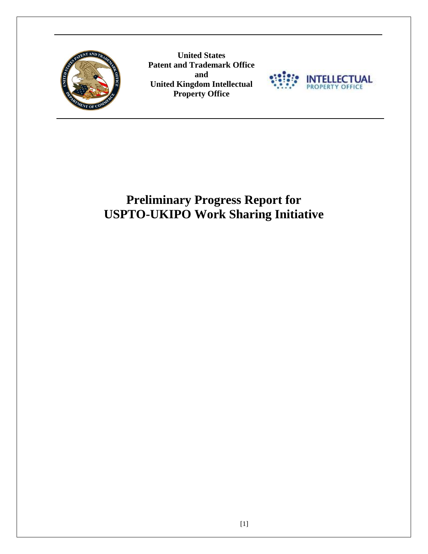

**United States Patent and Trademark Office and United Kingdom Intellectual Property Office**



# **Preliminary Progress Report for USPTO-UKIPO Work Sharing Initiative**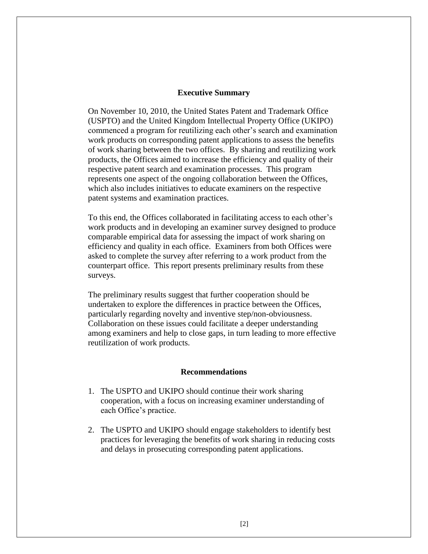#### **Executive Summary**

On November 10, 2010, the United States Patent and Trademark Office (USPTO) and the United Kingdom Intellectual Property Office (UKIPO) commenced a program for reutilizing each other"s search and examination work products on corresponding patent applications to assess the benefits of work sharing between the two offices. By sharing and reutilizing work products, the Offices aimed to increase the efficiency and quality of their respective patent search and examination processes. This program represents one aspect of the ongoing collaboration between the Offices, which also includes initiatives to educate examiners on the respective patent systems and examination practices.

To this end, the Offices collaborated in facilitating access to each other"s work products and in developing an examiner survey designed to produce comparable empirical data for assessing the impact of work sharing on efficiency and quality in each office. Examiners from both Offices were asked to complete the survey after referring to a work product from the counterpart office. This report presents preliminary results from these surveys.

The preliminary results suggest that further cooperation should be undertaken to explore the differences in practice between the Offices, particularly regarding novelty and inventive step/non-obviousness. Collaboration on these issues could facilitate a deeper understanding among examiners and help to close gaps, in turn leading to more effective reutilization of work products.

#### **Recommendations**

- 1. The USPTO and UKIPO should continue their work sharing cooperation, with a focus on increasing examiner understanding of each Office's practice.
- 2. The USPTO and UKIPO should engage stakeholders to identify best practices for leveraging the benefits of work sharing in reducing costs and delays in prosecuting corresponding patent applications.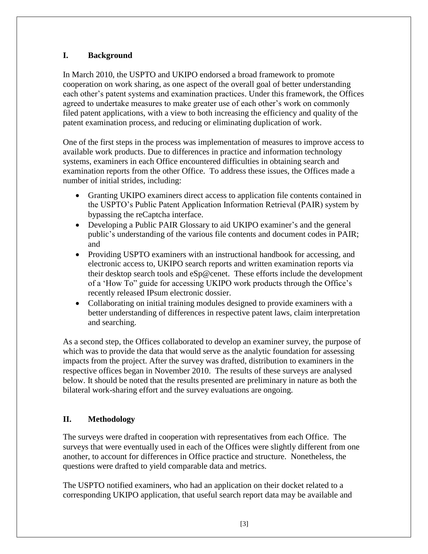#### **I. Background**

In March 2010, the USPTO and UKIPO endorsed a broad framework to promote cooperation on work sharing, as one aspect of the overall goal of better understanding each other"s patent systems and examination practices. Under this framework, the Offices agreed to undertake measures to make greater use of each other"s work on commonly filed patent applications, with a view to both increasing the efficiency and quality of the patent examination process, and reducing or eliminating duplication of work.

One of the first steps in the process was implementation of measures to improve access to available work products. Due to differences in practice and information technology systems, examiners in each Office encountered difficulties in obtaining search and examination reports from the other Office. To address these issues, the Offices made a number of initial strides, including:

- Granting UKIPO examiners direct access to application file contents contained in the USPTO"s Public Patent Application Information Retrieval (PAIR) system by bypassing the reCaptcha interface.
- Developing a Public PAIR Glossary to aid UKIPO examiner's and the general public"s understanding of the various file contents and document codes in PAIR; and
- Providing USPTO examiners with an instructional handbook for accessing, and electronic access to, UKIPO search reports and written examination reports via their desktop search tools and eSp@cenet. These efforts include the development of a "How To" guide for accessing UKIPO work products through the Office"s recently released IPsum electronic dossier.
- Collaborating on initial training modules designed to provide examiners with a better understanding of differences in respective patent laws, claim interpretation and searching.

As a second step, the Offices collaborated to develop an examiner survey, the purpose of which was to provide the data that would serve as the analytic foundation for assessing impacts from the project. After the survey was drafted, distribution to examiners in the respective offices began in November 2010. The results of these surveys are analysed below. It should be noted that the results presented are preliminary in nature as both the bilateral work-sharing effort and the survey evaluations are ongoing.

## **II. Methodology**

The surveys were drafted in cooperation with representatives from each Office. The surveys that were eventually used in each of the Offices were slightly different from one another, to account for differences in Office practice and structure. Nonetheless, the questions were drafted to yield comparable data and metrics.

The USPTO notified examiners, who had an application on their docket related to a corresponding UKIPO application, that useful search report data may be available and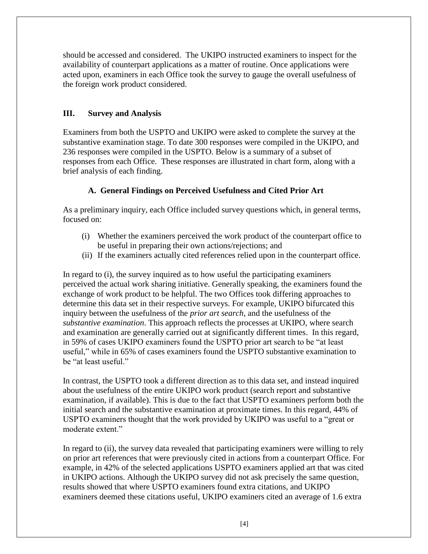should be accessed and considered. The UKIPO instructed examiners to inspect for the availability of counterpart applications as a matter of routine. Once applications were acted upon, examiners in each Office took the survey to gauge the overall usefulness of the foreign work product considered.

#### **III. Survey and Analysis**

Examiners from both the USPTO and UKIPO were asked to complete the survey at the substantive examination stage. To date 300 responses were compiled in the UKIPO, and 236 responses were compiled in the USPTO. Below is a summary of a subset of responses from each Office. These responses are illustrated in chart form, along with a brief analysis of each finding.

## **A. General Findings on Perceived Usefulness and Cited Prior Art**

As a preliminary inquiry, each Office included survey questions which, in general terms, focused on:

- (i) Whether the examiners perceived the work product of the counterpart office to be useful in preparing their own actions/rejections; and
- (ii) If the examiners actually cited references relied upon in the counterpart office.

In regard to (i), the survey inquired as to how useful the participating examiners perceived the actual work sharing initiative. Generally speaking, the examiners found the exchange of work product to be helpful. The two Offices took differing approaches to determine this data set in their respective surveys. For example, UKIPO bifurcated this inquiry between the usefulness of the *prior art search*, and the usefulness of the *substantive examination*. This approach reflects the processes at UKIPO, where search and examination are generally carried out at significantly different times. In this regard, in 59% of cases UKIPO examiners found the USPTO prior art search to be "at least useful," while in 65% of cases examiners found the USPTO substantive examination to be "at least useful."

In contrast, the USPTO took a different direction as to this data set, and instead inquired about the usefulness of the entire UKIPO work product (search report and substantive examination, if available). This is due to the fact that USPTO examiners perform both the initial search and the substantive examination at proximate times. In this regard, 44% of USPTO examiners thought that the work provided by UKIPO was useful to a "great or moderate extent."

In regard to (ii), the survey data revealed that participating examiners were willing to rely on prior art references that were previously cited in actions from a counterpart Office. For example, in 42% of the selected applications USPTO examiners applied art that was cited in UKIPO actions. Although the UKIPO survey did not ask precisely the same question, results showed that where USPTO examiners found extra citations, and UKIPO examiners deemed these citations useful, UKIPO examiners cited an average of 1.6 extra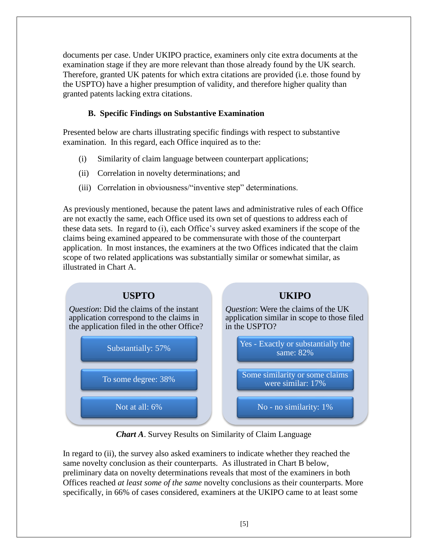documents per case. Under UKIPO practice, examiners only cite extra documents at the examination stage if they are more relevant than those already found by the UK search. Therefore, granted UK patents for which extra citations are provided (i.e. those found by the USPTO) have a higher presumption of validity, and therefore higher quality than granted patents lacking extra citations.

#### **B. Specific Findings on Substantive Examination**

Presented below are charts illustrating specific findings with respect to substantive examination. In this regard, each Office inquired as to the:

- (i) Similarity of claim language between counterpart applications;
- (ii) Correlation in novelty determinations; and
- (iii) Correlation in obviousness/"inventive step" determinations.

As previously mentioned, because the patent laws and administrative rules of each Office are not exactly the same, each Office used its own set of questions to address each of these data sets. In regard to (i), each Office"s survey asked examiners if the scope of the claims being examined appeared to be commensurate with those of the counterpart application. In most instances, the examiners at the two Offices indicated that the claim scope of two related applications was substantially similar or somewhat similar, as illustrated in Chart A.



*Chart A*. Survey Results on Similarity of Claim Language

In regard to (ii), the survey also asked examiners to indicate whether they reached the same novelty conclusion as their counterparts. As illustrated in Chart B below, preliminary data on novelty determinations reveals that most of the examiners in both Offices reached *at least some of the same* novelty conclusions as their counterparts. More specifically, in 66% of cases considered, examiners at the UKIPO came to at least some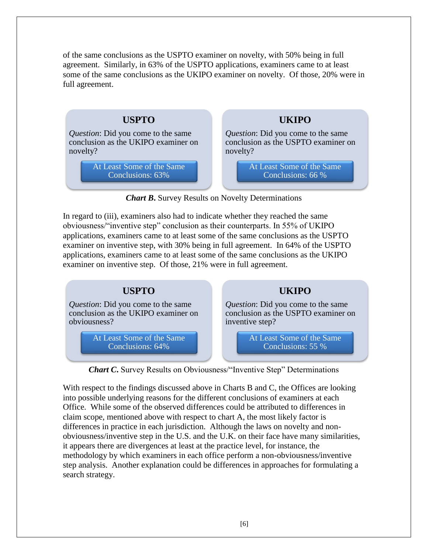of the same conclusions as the USPTO examiner on novelty, with 50% being in full agreement. Similarly, in 63% of the USPTO applications, examiners came to at least some of the same conclusions as the UKIPO examiner on novelty. Of those, 20% were in full agreement.



*Chart B*. Survey Results on Novelty Determinations

In regard to (iii), examiners also had to indicate whether they reached the same obviousness/"inventive step" conclusion as their counterparts. In 55% of UKIPO applications, examiners came to at least some of the same conclusions as the USPTO examiner on inventive step, with 30% being in full agreement. In 64% of the USPTO applications, examiners came to at least some of the same conclusions as the UKIPO examiner on inventive step. Of those, 21% were in full agreement.

# **USPTO**

*Question*: Did you come to the same conclusion as the UKIPO examiner on obviousness?

> At Least Some of the Same Conclusions: 64%

## **UKIPO**

*Question*: Did you come to the same conclusion as the USPTO examiner on inventive step?

> At Least Some of the Same Conclusions: 55 %

*Chart C*. Survey Results on Obviousness/"Inventive Step" Determinations

With respect to the findings discussed above in Charts B and C, the Offices are looking into possible underlying reasons for the different conclusions of examiners at each Office. While some of the observed differences could be attributed to differences in claim scope, mentioned above with respect to chart A, the most likely factor is differences in practice in each jurisdiction. Although the laws on novelty and nonobviousness/inventive step in the U.S. and the U.K. on their face have many similarities, it appears there are divergences at least at the practice level, for instance, the methodology by which examiners in each office perform a non-obviousness/inventive step analysis. Another explanation could be differences in approaches for formulating a search strategy.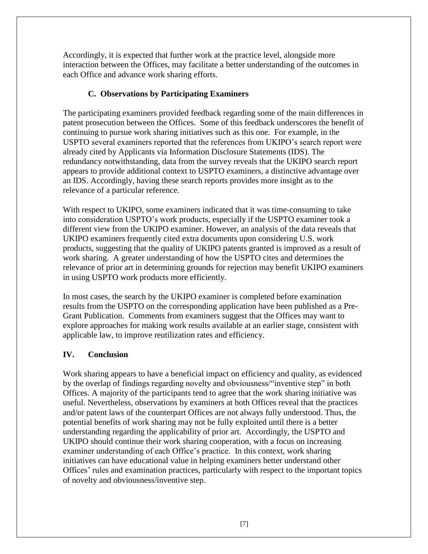Accordingly, it is expected that further work at the practice level, alongside more interaction between the Offices, may facilitate a better understanding of the outcomes in each Office and advance work sharing efforts.

#### **C. Observations by Participating Examiners**

The participating examiners provided feedback regarding some of the main differences in patent prosecution between the Offices. Some of this feedback underscores the benefit of continuing to pursue work sharing initiatives such as this one. For example, in the USPTO several examiners reported that the references from UKIPO"s search report were already cited by Applicants via Information Disclosure Statements (IDS). The redundancy notwithstanding, data from the survey reveals that the UKIPO search report appears to provide additional context to USPTO examiners, a distinctive advantage over an IDS. Accordingly, having these search reports provides more insight as to the relevance of a particular reference.

With respect to UKIPO, some examiners indicated that it was time-consuming to take into consideration USPTO"s work products, especially if the USPTO examiner took a different view from the UKIPO examiner. However, an analysis of the data reveals that UKIPO examiners frequently cited extra documents upon considering U.S. work products, suggesting that the quality of UKIPO patents granted is improved as a result of work sharing. A greater understanding of how the USPTO cites and determines the relevance of prior art in determining grounds for rejection may benefit UKIPO examiners in using USPTO work products more efficiently.

In most cases, the search by the UKIPO examiner is completed before examination results from the USPTO on the corresponding application have been published as a Pre-Grant Publication. Comments from examiners suggest that the Offices may want to explore approaches for making work results available at an earlier stage, consistent with applicable law, to improve reutilization rates and efficiency.

#### **IV. Conclusion**

Work sharing appears to have a beneficial impact on efficiency and quality, as evidenced by the overlap of findings regarding novelty and obviousness/"inventive step" in both Offices. A majority of the participants tend to agree that the work sharing initiative was useful. Nevertheless, observations by examiners at both Offices reveal that the practices and/or patent laws of the counterpart Offices are not always fully understood. Thus, the potential benefits of work sharing may not be fully exploited until there is a better understanding regarding the applicability of prior art. Accordingly, the USPTO and UKIPO should continue their work sharing cooperation, with a focus on increasing examiner understanding of each Office"s practice. In this context, work sharing initiatives can have educational value in helping examiners better understand other Offices' rules and examination practices, particularly with respect to the important topics of novelty and obviousness/inventive step.